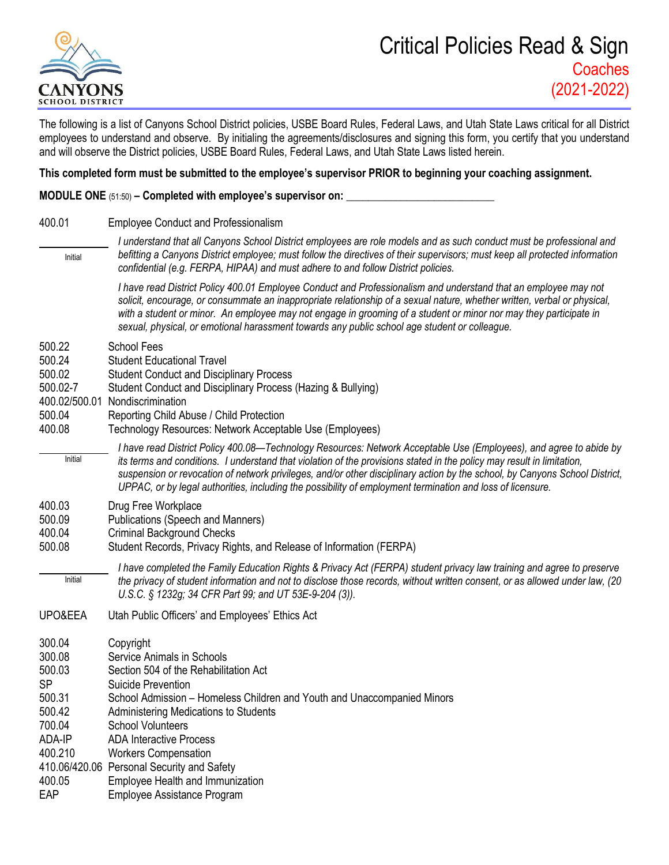

## Critical Policies Read & Sign **Coaches** (2021-2022)

The following is a list of Canyons School District policies, USBE Board Rules, Federal Laws, and Utah State Laws critical for all District employees to understand and observe. By initialing the agreements/disclosures and signing this form, you certify that you understand and will observe the District policies, USBE Board Rules, Federal Laws, and Utah State Laws listed herein.

## **This completed form must be submitted to the employee's supervisor PRIOR to beginning your coaching assignment.**

**MODULE ONE** (51:50) **– Completed with employee's supervisor on: \_\_\_\_\_\_\_\_\_\_\_\_\_\_\_\_\_\_\_\_\_\_\_\_\_\_\_**

400.01 Employee Conduct and Professionalism *I understand that all Canyons School District employees are role models and as such conduct must be professional and befitting a Canyons District employee; must follow the directives of their supervisors; must keep all protected information confidential (e.g. FERPA, HIPAA) and must adhere to and follow District policies. I have read District Policy 400.01 Employee Conduct and Professionalism and understand that an employee may not solicit, encourage, or consummate an inappropriate relationship of a sexual nature, whether written, verbal or physical, with a student or minor. An employee may not engage in grooming of a student or minor nor may they participate in sexual, physical, or emotional harassment towards any public school age student or colleague.* 500.22 School Fees 500.24 Student Educational Travel 500.02 Student Conduct and Disciplinary Process 500.02-7 Student Conduct and Disciplinary Process (Hazing & Bullying) 400.02/500.01 Nondiscrimination 500.04 Reporting Child Abuse / Child Protection 400.08 Technology Resources: Network Acceptable Use (Employees) *I have read District Policy 400.08—Technology Resources: Network Acceptable Use (Employees), and agree to abide by its terms and conditions. I understand that violation of the provisions stated in the policy may result in limitation, suspension or revocation of network privileges, and/or other disciplinary action by the school, by Canyons School District, UPPAC, or by legal authorities, including the possibility of employment termination and loss of licensure.* 400.03 Drug Free Workplace 500.09 Publications (Speech and Manners) 400.04 Criminal Background Checks 500.08 Student Records, Privacy Rights, and Release of Information (FERPA) *I have completed the Family Education Rights & Privacy Act (FERPA) student privacy law training and agree to preserve the privacy of student information and not to disclose those records, without written consent, or as allowed under law, (20 U.S.C. § 1232g; 34 CFR Part 99; and UT 53E-9-204 (3)).* UPO&EEA Utah Public Officers' and Employees' Ethics Act 300.04 Copyright 300.08 Service Animals in Schools 500.03 Section 504 of the Rehabilitation Act SP Suicide Prevention 500.31 School Admission – Homeless Children and Youth and Unaccompanied Minors 500.42 Administering Medications to Students 700.04 School Volunteers ADA-IP ADA Interactive Process 400.210 Workers Compensation 410.06/420.06 Personal Security and Safety 400.05 Employee Health and Immunization EAP Employee Assistance Program Initial Initial Initial